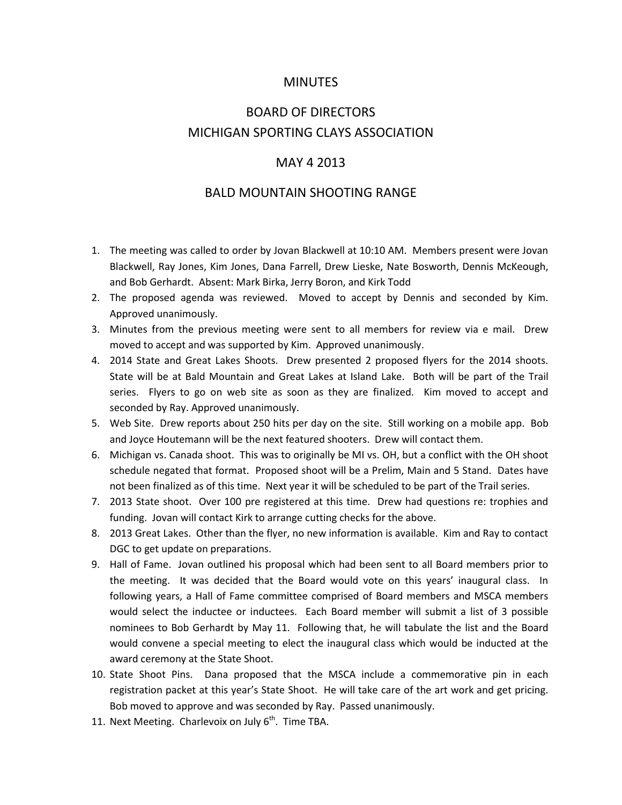### MINUTES

# BOARD OF DIRECTORS MICHIGAN SPORTING CLAYS ASSOCIATION

#### MAY 4 2013

#### BALD MOUNTAIN SHOOTING RANGE

- 1. The meeting was called to order by Jovan Blackwell at 10:10 AM. Members present were Jovan Blackwell, Ray Jones, Kim Jones, Dana Farrell, Drew Lieske, Nate Bosworth, Dennis McKeough, and Bob Gerhardt. Absent: Mark Birka, Jerry Boron, and Kirk Todd
- 2. The proposed agenda was reviewed. Moved to accept by Dennis and seconded by Kim. Approved unanimously.
- 3. Minutes from the previous meeting were sent to all members for review via e mail. Drew moved to accept and was supported by Kim. Approved unanimously.
- 4. 2014 State and Great Lakes Shoots. Drew presented 2 proposed flyers for the 2014 shoots. State will be at Bald Mountain and Great Lakes at Island Lake. Both will be part of the Trail series. Flyers to go on web site as soon as they are finalized. Kim moved to accept and seconded by Ray. Approved unanimously.
- 5. Web Site. Drew reports about 250 hits per day on the site. Still working on a mobile app. Bob and Joyce Houtemann will be the next featured shooters. Drew will contact them.
- 6. Michigan vs. Canada shoot. This was to originally be MI vs. OH, but a conflict with the OH shoot schedule negated that format. Proposed shoot will be a Prelim, Main and 5 Stand. Dates have not been finalized as of this time. Next year it will be scheduled to be part of the Trail series.
- 7. 2013 State shoot. Over 100 pre registered at this time. Drew had questions re: trophies and funding. Jovan will contact Kirk to arrange cutting checks for the above.
- 8. 2013 Great Lakes. Other than the flyer, no new information is available. Kim and Ray to contact DGC to get update on preparations.
- 9. Hall of Fame. Jovan outlined his proposal which had been sent to all Board members prior to the meeting. It was decided that the Board would vote on this years' inaugural class. In following years, a Hall of Fame committee comprised of Board members and MSCA members would select the inductee or inductees. Each Board member will submit a list of 3 possible nominees to Bob Gerhardt by May 11. Following that, he will tabulate the list and the Board would convene a special meeting to elect the inaugural class which would be inducted at the award ceremony at the State Shoot.
- 10. State Shoot Pins. Dana proposed that the MSCA include a commemorative pin in each registration packet at this year's State Shoot. He will take care of the art work and get pricing. Bob moved to approve and was seconded by Ray. Passed unanimously.
- 11. Next Meeting. Charlevoix on July  $6<sup>th</sup>$ . Time TBA.